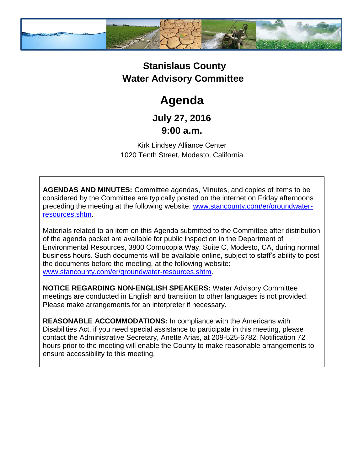

## **Stanislaus County Water Advisory Committee**

# **Agenda**

### **July 27, 2016 9:00 a.m.**

Kirk Lindsey Alliance Center 1020 Tenth Street, Modesto, California

**AGENDAS AND MINUTES:** Committee agendas, Minutes, and copies of items to be considered by the Committee are typically posted on the internet on Friday afternoons preceding the meeting at the following website: [www.stancounty.com/er/groundwater](http://www.stancounty.com/er/groundwater-resources.shtm)[resources.shtm.](http://www.stancounty.com/er/groundwater-resources.shtm)

Materials related to an item on this Agenda submitted to the Committee after distribution of the agenda packet are available for public inspection in the Department of Environmental Resources, 3800 Cornucopia Way, Suite C, Modesto, CA, during normal business hours. Such documents will be available online, subject to staff's ability to post the documents before the meeting, at the following website: [www.stancounty.com/er/groundwater-resources.shtm.](http://www.stancounty.com/er/groundwater-resources.shtm)

**NOTICE REGARDING NON-ENGLISH SPEAKERS:** Water Advisory Committee meetings are conducted in English and transition to other languages is not provided. Please make arrangements for an interpreter if necessary.

**REASONABLE ACCOMMODATIONS:** In compliance with the Americans with Disabilities Act, if you need special assistance to participate in this meeting, please contact the Administrative Secretary, Anette Arias, at 209-525-6782. Notification 72 hours prior to the meeting will enable the County to make reasonable arrangements to ensure accessibility to this meeting.